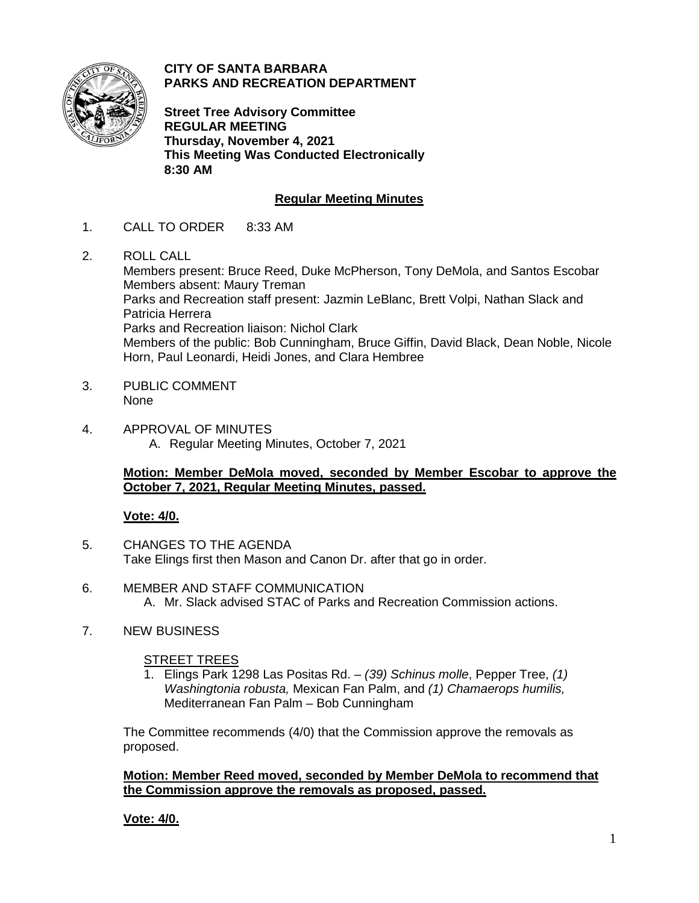

**CITY OF SANTA BARBARA PARKS AND RECREATION DEPARTMENT**

**Street Tree Advisory Committee REGULAR MEETING Thursday, November 4, 2021 This Meeting Was Conducted Electronically 8:30 AM**

# **Regular Meeting Minutes**

- 1. CALL TO ORDER 8:33 AM
- 2. ROLL CALL

Members present: Bruce Reed, Duke McPherson, Tony DeMola, and Santos Escobar Members absent: Maury Treman Parks and Recreation staff present: Jazmin LeBlanc, Brett Volpi, Nathan Slack and Patricia Herrera Parks and Recreation liaison: Nichol Clark Members of the public: Bob Cunningham, Bruce Giffin, David Black, Dean Noble, Nicole Horn, Paul Leonardi, Heidi Jones, and Clara Hembree

- 3. PUBLIC COMMENT None
- 4. APPROVAL OF MINUTES A. Regular Meeting Minutes, October 7, 2021

## **Motion: Member DeMola moved, seconded by Member Escobar to approve the October 7, 2021, Regular Meeting Minutes, passed.**

## **Vote: 4/0.**

- 5. CHANGES TO THE AGENDA Take Elings first then Mason and Canon Dr. after that go in order.
- 6. MEMBER AND STAFF COMMUNICATION A. Mr. Slack advised STAC of Parks and Recreation Commission actions.
- 7. NEW BUSINESS

## STREET TREES

1. Elings Park 1298 Las Positas Rd. – *(39) Schinus molle*, Pepper Tree, *(1) Washingtonia robusta,* Mexican Fan Palm, and *(1) Chamaerops humilis,* Mediterranean Fan Palm – Bob Cunningham

The Committee recommends (4/0) that the Commission approve the removals as proposed.

**Motion: Member Reed moved, seconded by Member DeMola to recommend that the Commission approve the removals as proposed, passed.**

## **Vote: 4/0.**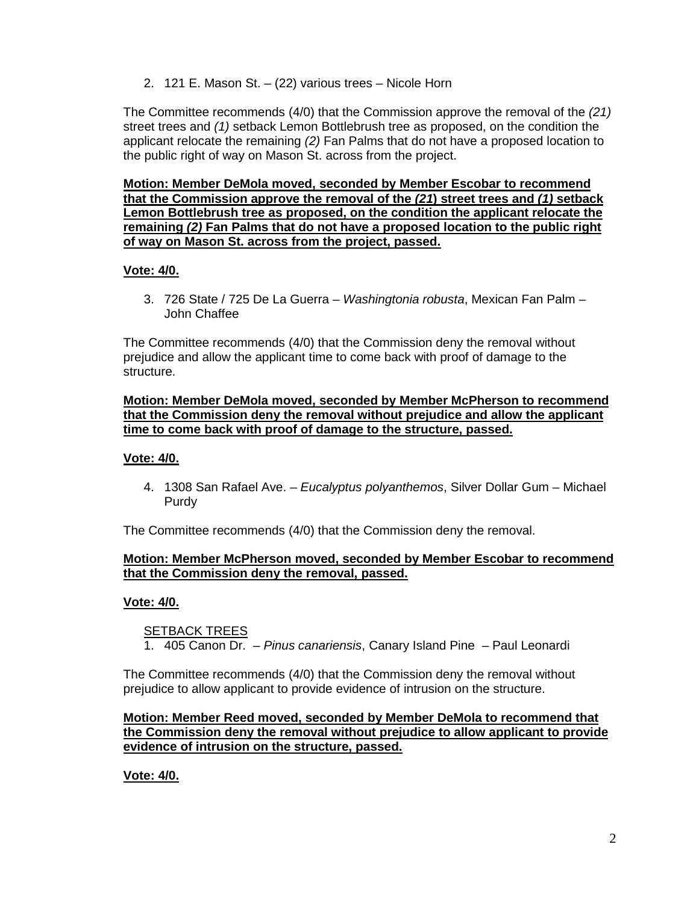2. 121 E. Mason St. – (22) various trees – Nicole Horn

The Committee recommends (4/0) that the Commission approve the removal of the *(21)* street trees and *(1)* setback Lemon Bottlebrush tree as proposed, on the condition the applicant relocate the remaining *(2)* Fan Palms that do not have a proposed location to the public right of way on Mason St. across from the project.

**Motion: Member DeMola moved, seconded by Member Escobar to recommend that the Commission approve the removal of the** *(21***) street trees and** *(1)* **setback Lemon Bottlebrush tree as proposed, on the condition the applicant relocate the remaining** *(2)* **Fan Palms that do not have a proposed location to the public right of way on Mason St. across from the project, passed.** 

## **Vote: 4/0.**

3. 726 State / 725 De La Guerra – *Washingtonia robusta*, Mexican Fan Palm – John Chaffee

The Committee recommends (4/0) that the Commission deny the removal without prejudice and allow the applicant time to come back with proof of damage to the structure.

#### **Motion: Member DeMola moved, seconded by Member McPherson to recommend that the Commission deny the removal without prejudice and allow the applicant time to come back with proof of damage to the structure, passed.**

#### **Vote: 4/0.**

4. 1308 San Rafael Ave. – *Eucalyptus polyanthemos*, Silver Dollar Gum – Michael Purdy

The Committee recommends (4/0) that the Commission deny the removal.

## **Motion: Member McPherson moved, seconded by Member Escobar to recommend that the Commission deny the removal, passed.**

## **Vote: 4/0.**

#### **SETBACK TREES**

1. 405 Canon Dr. – *Pinus canariensis*, Canary Island Pine – Paul Leonardi

The Committee recommends (4/0) that the Commission deny the removal without prejudice to allow applicant to provide evidence of intrusion on the structure.

#### **Motion: Member Reed moved, seconded by Member DeMola to recommend that the Commission deny the removal without prejudice to allow applicant to provide evidence of intrusion on the structure, passed.**

**Vote: 4/0.**